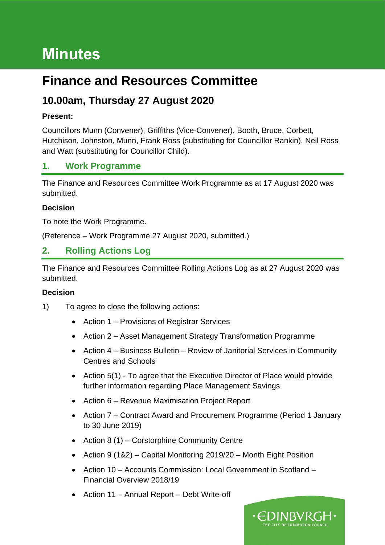# **Minutes**

# **Finance and Resources Committee**

## **10.00am, Thursday 27 August 2020**

### **Present:**

Councillors Munn (Convener), Griffiths (Vice-Convener), Booth, Bruce, Corbett, Hutchison, Johnston, Munn, Frank Ross (substituting for Councillor Rankin), Neil Ross and Watt (substituting for Councillor Child).

### **1. Work Programme**

The Finance and Resources Committee Work Programme as at 17 August 2020 was submitted.

#### **Decision**

To note the Work Programme.

(Reference – Work Programme 27 August 2020, submitted.)

### **2. Rolling Actions Log**

The Finance and Resources Committee Rolling Actions Log as at 27 August 2020 was submitted.

#### **Decision**

- 1) To agree to close the following actions:
	- Action 1 Provisions of Registrar Services
	- Action 2 Asset Management Strategy Transformation Programme
	- Action 4 Business Bulletin Review of Janitorial Services in Community Centres and Schools
	- Action 5(1) To agree that the Executive Director of Place would provide further information regarding Place Management Savings.
	- Action 6 Revenue Maximisation Project Report
	- Action 7 Contract Award and Procurement Programme (Period 1 January to 30 June 2019)

•EDINBVRGH•

- Action 8 (1) Corstorphine Community Centre
- Action 9 (1&2) Capital Monitoring 2019/20 Month Eight Position
- Action 10 Accounts Commission: Local Government in Scotland Financial Overview 2018/19
- Action 11 Annual Report Debt Write-off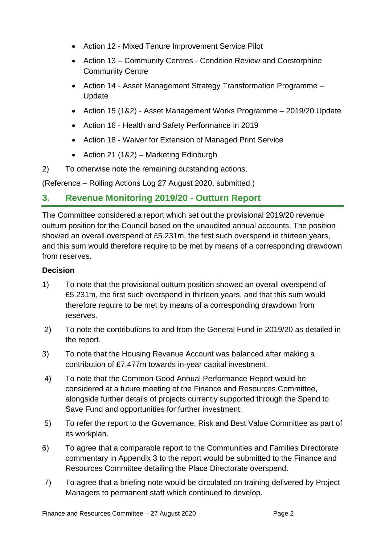- Action 12 Mixed Tenure Improvement Service Pilot
- Action 13 Community Centres Condition Review and Corstorphine Community Centre
- Action 14 Asset Management Strategy Transformation Programme Update
- Action 15 (1&2) Asset Management Works Programme 2019/20 Update
- Action 16 Health and Safety Performance in 2019
- Action 18 Waiver for Extension of Managed Print Service
- Action 21 (1&2) Marketing Edinburgh
- 2) To otherwise note the remaining outstanding actions.

(Reference – Rolling Actions Log 27 August 2020, submitted.)

### **3. Revenue Monitoring 2019/20 - Outturn Report**

The Committee considered a report which set out the provisional 2019/20 revenue outturn position for the Council based on the unaudited annual accounts. The position showed an overall overspend of £5.231m, the first such overspend in thirteen years, and this sum would therefore require to be met by means of a corresponding drawdown from reserves.

### **Decision**

- 1) To note that the provisional outturn position showed an overall overspend of £5.231m, the first such overspend in thirteen years, and that this sum would therefore require to be met by means of a corresponding drawdown from reserves.
- 2) To note the contributions to and from the General Fund in 2019/20 as detailed in the report.
- 3) To note that the Housing Revenue Account was balanced after making a contribution of £7.477m towards in-year capital investment.
- 4) To note that the Common Good Annual Performance Report would be considered at a future meeting of the Finance and Resources Committee, alongside further details of projects currently supported through the Spend to Save Fund and opportunities for further investment.
- 5) To refer the report to the Governance, Risk and Best Value Committee as part of its workplan.
- 6) To agree that a comparable report to the Communities and Families Directorate commentary in Appendix 3 to the report would be submitted to the Finance and Resources Committee detailing the Place Directorate overspend.
- 7) To agree that a briefing note would be circulated on training delivered by Project Managers to permanent staff which continued to develop.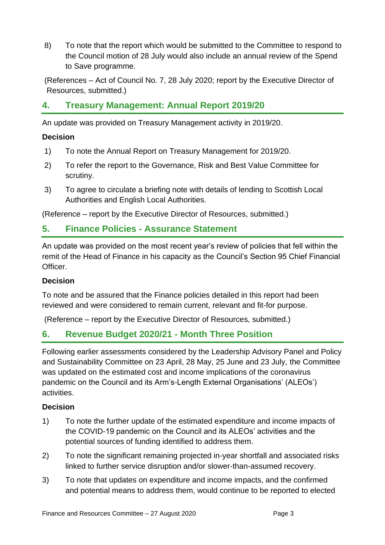8) To note that the report which would be submitted to the Committee to respond to the Council motion of 28 July would also include an annual review of the Spend to Save programme.

(References – Act of Council No. 7, 28 July 2020; report by the Executive Director of Resources, submitted.)

### **4. Treasury Management: Annual Report 2019/20**

An update was provided on Treasury Management activity in 2019/20.

#### **Decision**

- 1) To note the Annual Report on Treasury Management for 2019/20.
- 2) To refer the report to the Governance, Risk and Best Value Committee for scrutiny.
- 3) To agree to circulate a briefing note with details of lending to Scottish Local Authorities and English Local Authorities.

(Reference – report by the Executive Director of Resources, submitted.)

### **5. Finance Policies - Assurance Statement**

An update was provided on the most recent year's review of policies that fell within the remit of the Head of Finance in his capacity as the Council's Section 95 Chief Financial Officer.

### **Decision**

To note and be assured that the Finance policies detailed in this report had been reviewed and were considered to remain current, relevant and fit-for purpose.

(Reference – report by the Executive Director of Resources, submitted.)

### **6. Revenue Budget 2020/21 - Month Three Position**

Following earlier assessments considered by the Leadership Advisory Panel and Policy and Sustainability Committee on 23 April, 28 May, 25 June and 23 July, the Committee was updated on the estimated cost and income implications of the coronavirus pandemic on the Council and its Arm's-Length External Organisations' (ALEOs') activities.

### **Decision**

- 1) To note the further update of the estimated expenditure and income impacts of the COVID-19 pandemic on the Council and its ALEOs' activities and the potential sources of funding identified to address them.
- 2) To note the significant remaining projected in-year shortfall and associated risks linked to further service disruption and/or slower-than-assumed recovery.
- 3) To note that updates on expenditure and income impacts, and the confirmed and potential means to address them, would continue to be reported to elected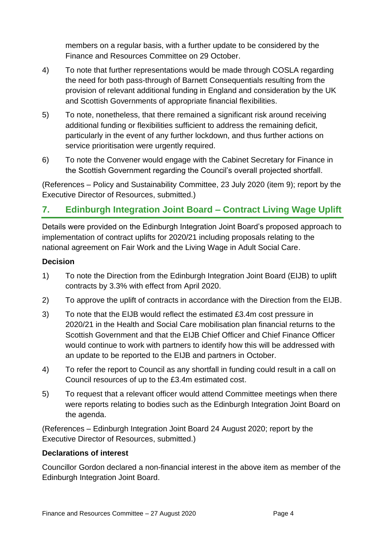members on a regular basis, with a further update to be considered by the Finance and Resources Committee on 29 October.

- 4) To note that further representations would be made through COSLA regarding the need for both pass-through of Barnett Consequentials resulting from the provision of relevant additional funding in England and consideration by the UK and Scottish Governments of appropriate financial flexibilities.
- 5) To note, nonetheless, that there remained a significant risk around receiving additional funding or flexibilities sufficient to address the remaining deficit, particularly in the event of any further lockdown, and thus further actions on service prioritisation were urgently required.
- 6) To note the Convener would engage with the Cabinet Secretary for Finance in the Scottish Government regarding the Council's overall projected shortfall.

(References – Policy and Sustainability Committee, 23 July 2020 (item 9); report by the Executive Director of Resources, submitted.)

### **7. Edinburgh Integration Joint Board – Contract Living Wage Uplift**

Details were provided on the Edinburgh Integration Joint Board's proposed approach to implementation of contract uplifts for 2020/21 including proposals relating to the national agreement on Fair Work and the Living Wage in Adult Social Care.

#### **Decision**

- 1) To note the Direction from the Edinburgh Integration Joint Board (EIJB) to uplift contracts by 3.3% with effect from April 2020.
- 2) To approve the uplift of contracts in accordance with the Direction from the EIJB.
- 3) To note that the EIJB would reflect the estimated £3.4m cost pressure in 2020/21 in the Health and Social Care mobilisation plan financial returns to the Scottish Government and that the EIJB Chief Officer and Chief Finance Officer would continue to work with partners to identify how this will be addressed with an update to be reported to the EIJB and partners in October.
- 4) To refer the report to Council as any shortfall in funding could result in a call on Council resources of up to the £3.4m estimated cost.
- 5) To request that a relevant officer would attend Committee meetings when there were reports relating to bodies such as the Edinburgh Integration Joint Board on the agenda.

(References – Edinburgh Integration Joint Board 24 August 2020; report by the Executive Director of Resources, submitted.)

#### **Declarations of interest**

Councillor Gordon declared a non-financial interest in the above item as member of the Edinburgh Integration Joint Board.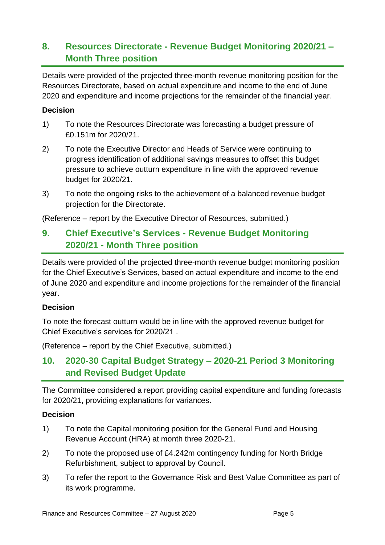### **8. Resources Directorate - Revenue Budget Monitoring 2020/21 – Month Three position**

Details were provided of the projected three-month revenue monitoring position for the Resources Directorate, based on actual expenditure and income to the end of June 2020 and expenditure and income projections for the remainder of the financial year.

#### **Decision**

- 1) To note the Resources Directorate was forecasting a budget pressure of £0.151m for 2020/21.
- 2) To note the Executive Director and Heads of Service were continuing to progress identification of additional savings measures to offset this budget pressure to achieve outturn expenditure in line with the approved revenue budget for 2020/21.
- 3) To note the ongoing risks to the achievement of a balanced revenue budget projection for the Directorate.

(Reference – report by the Executive Director of Resources, submitted.)

### **9. Chief Executive's Services - Revenue Budget Monitoring 2020/21 - Month Three position**

Details were provided of the projected three-month revenue budget monitoring position for the Chief Executive's Services, based on actual expenditure and income to the end of June 2020 and expenditure and income projections for the remainder of the financial year.

#### **Decision**

To note the forecast outturn would be in line with the approved revenue budget for Chief Executive's services for 2020/21 .

(Reference – report by the Chief Executive, submitted.)

### **10. 2020-30 Capital Budget Strategy – 2020-21 Period 3 Monitoring and Revised Budget Update**

The Committee considered a report providing capital expenditure and funding forecasts for 2020/21, providing explanations for variances.

#### **Decision**

- 1) To note the Capital monitoring position for the General Fund and Housing Revenue Account (HRA) at month three 2020-21.
- 2) To note the proposed use of £4.242m contingency funding for North Bridge Refurbishment, subject to approval by Council.
- 3) To refer the report to the Governance Risk and Best Value Committee as part of its work programme.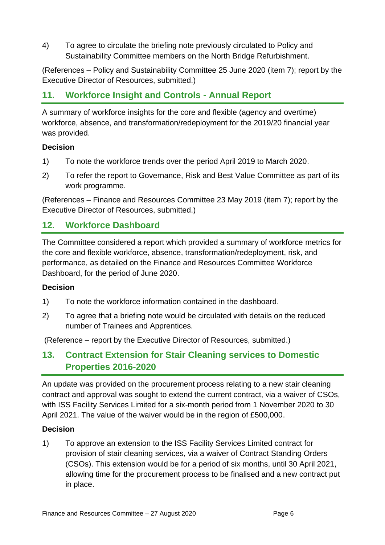4) To agree to circulate the briefing note previously circulated to Policy and Sustainability Committee members on the North Bridge Refurbishment.

(References – Policy and Sustainability Committee 25 June 2020 (item 7); report by the Executive Director of Resources, submitted.)

### **11. Workforce Insight and Controls - Annual Report**

A summary of workforce insights for the core and flexible (agency and overtime) workforce, absence, and transformation/redeployment for the 2019/20 financial year was provided.

#### **Decision**

- 1) To note the workforce trends over the period April 2019 to March 2020.
- 2) To refer the report to Governance, Risk and Best Value Committee as part of its work programme.

(References – Finance and Resources Committee 23 May 2019 (item 7); report by the Executive Director of Resources, submitted.)

### **12. Workforce Dashboard**

The Committee considered a report which provided a summary of workforce metrics for the core and flexible workforce, absence, transformation/redeployment, risk, and performance, as detailed on the Finance and Resources Committee Workforce Dashboard, for the period of June 2020.

#### **Decision**

- 1) To note the workforce information contained in the dashboard.
- 2) To agree that a briefing note would be circulated with details on the reduced number of Trainees and Apprentices.

(Reference – report by the Executive Director of Resources, submitted.)

### **13. Contract Extension for Stair Cleaning services to Domestic Properties 2016-2020**

An update was provided on the procurement process relating to a new stair cleaning contract and approval was sought to extend the current contract, via a waiver of CSOs, with ISS Facility Services Limited for a six-month period from 1 November 2020 to 30 April 2021. The value of the waiver would be in the region of £500,000.

### **Decision**

1) To approve an extension to the ISS Facility Services Limited contract for provision of stair cleaning services, via a waiver of Contract Standing Orders (CSOs). This extension would be for a period of six months, until 30 April 2021, allowing time for the procurement process to be finalised and a new contract put in place.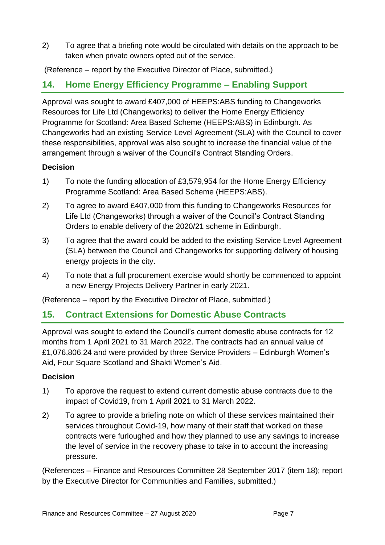2) To agree that a briefing note would be circulated with details on the approach to be taken when private owners opted out of the service.

(Reference – report by the Executive Director of Place, submitted.)

### **14. Home Energy Efficiency Programme – Enabling Support**

Approval was sought to award £407,000 of HEEPS:ABS funding to Changeworks Resources for Life Ltd (Changeworks) to deliver the Home Energy Efficiency Programme for Scotland: Area Based Scheme (HEEPS:ABS) in Edinburgh. As Changeworks had an existing Service Level Agreement (SLA) with the Council to cover these responsibilities, approval was also sought to increase the financial value of the arrangement through a waiver of the Council's Contract Standing Orders.

#### **Decision**

- 1) To note the funding allocation of £3,579,954 for the Home Energy Efficiency Programme Scotland: Area Based Scheme (HEEPS:ABS).
- 2) To agree to award £407,000 from this funding to Changeworks Resources for Life Ltd (Changeworks) through a waiver of the Council's Contract Standing Orders to enable delivery of the 2020/21 scheme in Edinburgh.
- 3) To agree that the award could be added to the existing Service Level Agreement (SLA) between the Council and Changeworks for supporting delivery of housing energy projects in the city.
- 4) To note that a full procurement exercise would shortly be commenced to appoint a new Energy Projects Delivery Partner in early 2021.

(Reference – report by the Executive Director of Place, submitted.)

### **15. Contract Extensions for Domestic Abuse Contracts**

Approval was sought to extend the Council's current domestic abuse contracts for 12 months from 1 April 2021 to 31 March 2022. The contracts had an annual value of £1,076,806.24 and were provided by three Service Providers – Edinburgh Women's Aid, Four Square Scotland and Shakti Women's Aid.

#### **Decision**

- 1) To approve the request to extend current domestic abuse contracts due to the impact of Covid19, from 1 April 2021 to 31 March 2022.
- 2) To agree to provide a briefing note on which of these services maintained their services throughout Covid-19, how many of their staff that worked on these contracts were furloughed and how they planned to use any savings to increase the level of service in the recovery phase to take in to account the increasing pressure.

(References – Finance and Resources Committee 28 September 2017 (item 18); report by the Executive Director for Communities and Families, submitted.)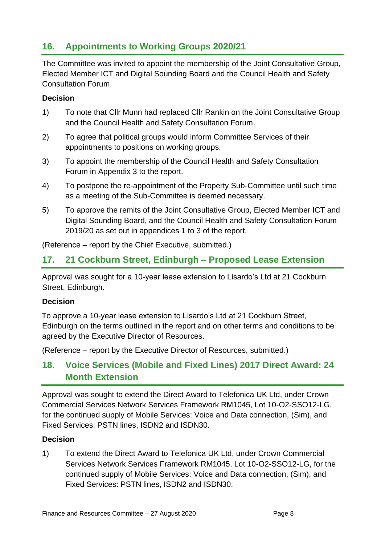### **16. Appointments to Working Groups 2020/21**

The Committee was invited to appoint the membership of the Joint Consultative Group, Elected Member ICT and Digital Sounding Board and the Council Health and Safety Consultation Forum.

#### **Decision**

- 1) To note that Cllr Munn had replaced Cllr Rankin on the Joint Consultative Group and the Council Health and Safety Consultation Forum.
- 2) To agree that political groups would inform Committee Services of their appointments to positions on working groups.
- 3) To appoint the membership of the Council Health and Safety Consultation Forum in Appendix 3 to the report.
- 4) To postpone the re-appointment of the Property Sub-Committee until such time as a meeting of the Sub-Committee is deemed necessary.
- 5) To approve the remits of the Joint Consultative Group, Elected Member ICT and Digital Sounding Board, and the Council Health and Safety Consultation Forum 2019/20 as set out in appendices 1 to 3 of the report.

(Reference – report by the Chief Executive, submitted.)

### **17. 21 Cockburn Street, Edinburgh – Proposed Lease Extension**

Approval was sought for a 10-year lease extension to Lisardo's Ltd at 21 Cockburn Street, Edinburgh.

### **Decision**

To approve a 10-year lease extension to Lisardo's Ltd at 21 Cockburn Street, Edinburgh on the terms outlined in the report and on other terms and conditions to be agreed by the Executive Director of Resources.

(Reference – report by the Executive Director of Resources, submitted.)

### **18. Voice Services (Mobile and Fixed Lines) 2017 Direct Award: 24 Month Extension**

Approval was sought to extend the Direct Award to Telefonica UK Ltd, under Crown Commercial Services Network Services Framework RM1045, Lot 10-O2-SSO12-LG, for the continued supply of Mobile Services: Voice and Data connection, (Sim), and Fixed Services: PSTN lines, ISDN2 and ISDN30.

### **Decision**

1) To extend the Direct Award to Telefonica UK Ltd, under Crown Commercial Services Network Services Framework RM1045, Lot 10-O2-SSO12-LG, for the continued supply of Mobile Services: Voice and Data connection, (Sim), and Fixed Services: PSTN lines, ISDN2 and ISDN30.